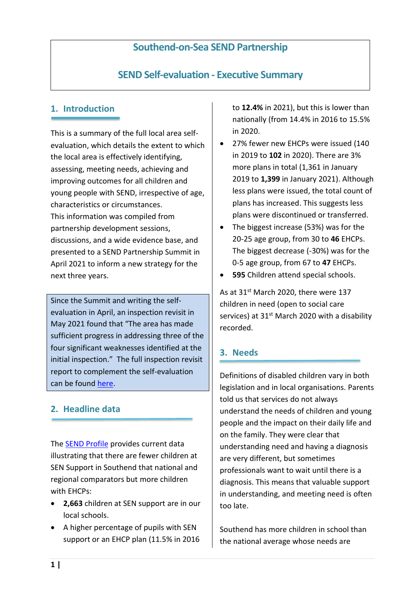### **Southend-on-Sea SEND Partnership**

# **SEND Self-evaluation - Executive Summary**

#### **1. Introduction**

This is a summary of the full local area selfevaluation, which details the extent to which the local area is effectively identifying, assessing, meeting needs, achieving and improving outcomes for all children and young people with SEND, irrespective of age, characteristics or circumstances. This information was compiled from partnership development sessions, discussions, and a wide evidence base, and presented to a SEND Partnership Summit in April 2021 to inform a new strategy for the next three years.

Since the Summit and writing the selfevaluation in April, an inspection revisit in May 2021 found that "The area has made sufficient progress in addressing three of the four significant weaknesses identified at the initial inspection." The full inspection revisit report to complement the self-evaluation can be found [here.](https://files.ofsted.gov.uk/v1/file/50164993)

#### **2. Headline data**

The [SEND Profile](https://storymaps.arcgis.com/stories/b57414cad29a496c8e232a98305443e0) provides current data illustrating that there are fewer children at SEN Support in Southend that national and regional comparators but more children with EHCPs:

- **2,663** children at SEN support are in our local schools.
- A higher percentage of pupils with SEN support or an EHCP plan (11.5% in 2016

to **12.4%** in 2021), but this is lower than nationally (from 14.4% in 2016 to 15.5% in 2020.

- 27% fewer new EHCPs were issued (140 in 2019 to **102** in 2020). There are 3% more plans in total (1,361 in January 2019 to **1,399** in January 2021). Although less plans were issued, the total count of plans has increased. This suggests less plans were discontinued or transferred.
- The biggest increase (53%) was for the 20-25 age group, from 30 to **46** EHCPs. The biggest decrease (-30%) was for the 0-5 age group, from 67 to **47** EHCPs.
- **595** Children attend special schools.

As at 31<sup>st</sup> March 2020, there were 137 children in need (open to social care services) at 31<sup>st</sup> March 2020 with a disability recorded.

#### **3. Needs**

Definitions of disabled children vary in both legislation and in local organisations. Parents told us that services do not always understand the needs of children and young people and the impact on their daily life and on the family. They were clear that understanding need and having a diagnosis are very different, but sometimes professionals want to wait until there is a diagnosis. This means that valuable support in understanding, and meeting need is often too late.

Southend has more children in school than the national average whose needs are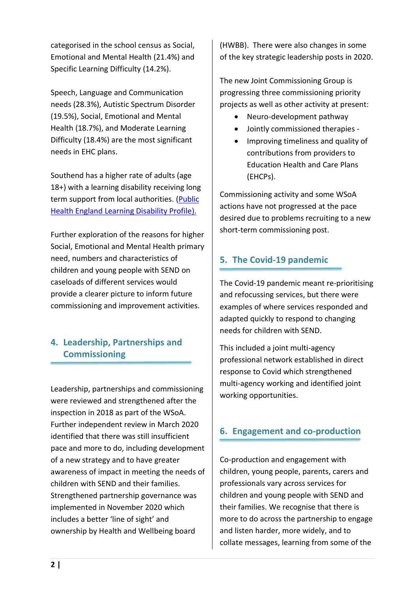categorised in the school census as Social, Emotional and Mental Health (21.4%) and Specific Learning Difficulty (14.2%).

Speech, Language and Communication needs (28.3%), Autistic Spectrum Disorder (19.5%), Social, Emotional and Mental Health (18.7%), and Moderate Learning Difficulty (18.4%) are the most significant needs in EHC plans.

Southend has a higher rate of adults (age 18+) with a learning disability receiving long term support from local authorities. [\(Public](https://fingertips.phe.org.uk/profile/learning-disabilities/data#page/0)  [Health England Learning Disability Profile\)](https://fingertips.phe.org.uk/profile/learning-disabilities/data#page/0).

Further exploration of the reasons for higher Social, Emotional and Mental Health primary need, numbers and characteristics of children and young people with SEND on caseloads of different services would provide a clearer picture to inform future commissioning and improvement activities.

# **4. Leadership, Partnerships and Commissioning**

Leadership, partnerships and commissioning were reviewed and strengthened after the inspection in 2018 as part of the WSoA. Further independent review in March 2020 identified that there was still insufficient pace and more to do, including development of a new strategy and to have greater awareness of impact in meeting the needs of children with SEND and their families. Strengthened partnership governance was implemented in November 2020 which includes a better 'line of sight' and ownership by Health and Wellbeing board

(HWBB). There were also changes in some of the key strategic leadership posts in 2020.

The new Joint Commissioning Group is progressing three commissioning priority projects as well as other activity at present:

- Neuro-development pathway
- Jointly commissioned therapies -
- Improving timeliness and quality of contributions from providers to Education Health and Care Plans (EHCPs).

Commissioning activity and some WSoA actions have not progressed at the pace desired due to problems recruiting to a new short-term commissioning post.

#### **5. The Covid-19 pandemic**

The Covid-19 pandemic meant re-prioritising and refocussing services, but there were examples of where services responded and adapted quickly to respond to changing needs for children with SEND.

This included a joint multi-agency professional network established in direct response to Covid which strengthened multi-agency working and identified joint working opportunities.

# **6. Engagement and co-production**

Co-production and engagement with children, young people, parents, carers and professionals vary across services for children and young people with SEND and their families. We recognise that there is more to do across the partnership to engage and listen harder, more widely, and to collate messages, learning from some of the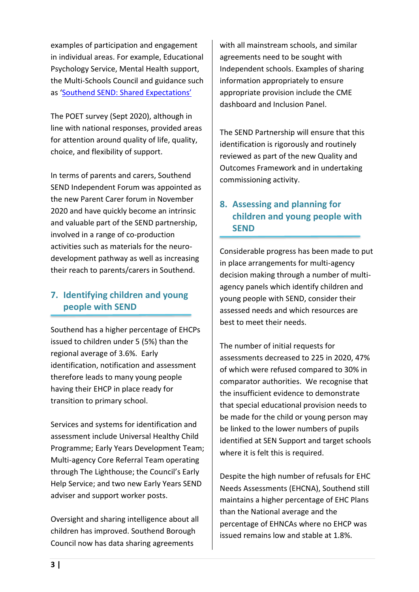examples of participation and engagement in individual areas. For example, Educational Psychology Service, Mental Health support, the Multi-Schools Council and guidance such as ['Southend SEND: Shared Expectations'](https://www.southendlearningnetwork.co.uk/Page/16105)

The POET survey (Sept 2020), although in line with national responses, provided areas for attention around quality of life, quality, choice, and flexibility of support.

In terms of parents and carers, Southend SEND Independent Forum was appointed as the new Parent Carer forum in November 2020 and have quickly become an intrinsic and valuable part of the SEND partnership, involved in a range of co-production activities such as materials for the neurodevelopment pathway as well as increasing their reach to parents/carers in Southend.

### **7. Identifying children and young people with SEND**

Southend has a higher percentage of EHCPs issued to children under 5 (5%) than the regional average of 3.6%. Early identification, notification and assessment therefore leads to many young people having their EHCP in place ready for transition to primary school.

Services and systems for identification and assessment include Universal Healthy Child Programme; Early Years Development Team; Multi-agency Core Referral Team operating through The Lighthouse; the Council's Early Help Service; and two new Early Years SEND adviser and support worker posts.

Oversight and sharing intelligence about all children has improved. Southend Borough Council now has data sharing agreements

with all mainstream schools, and similar agreements need to be sought with Independent schools. Examples of sharing information appropriately to ensure appropriate provision include the CME dashboard and Inclusion Panel.

The SEND Partnership will ensure that this identification is rigorously and routinely reviewed as part of the new Quality and Outcomes Framework and in undertaking commissioning activity.

# **8. Assessing and planning for children and young people with SEND**

Considerable progress has been made to put in place arrangements for multi-agency decision making through a number of multiagency panels which identify children and young people with SEND, consider their assessed needs and which resources are best to meet their needs.

The number of initial requests for assessments decreased to 225 in 2020, 47% of which were refused compared to 30% in comparator authorities. We recognise that the insufficient evidence to demonstrate that special educational provision needs to be made for the child or young person may be linked to the lower numbers of pupils identified at SEN Support and target schools where it is felt this is required.

Despite the high number of refusals for EHC Needs Assessments (EHCNA), Southend still maintains a higher percentage of EHC Plans than the National average and the percentage of EHNCAs where no EHCP was issued remains low and stable at 1.8%.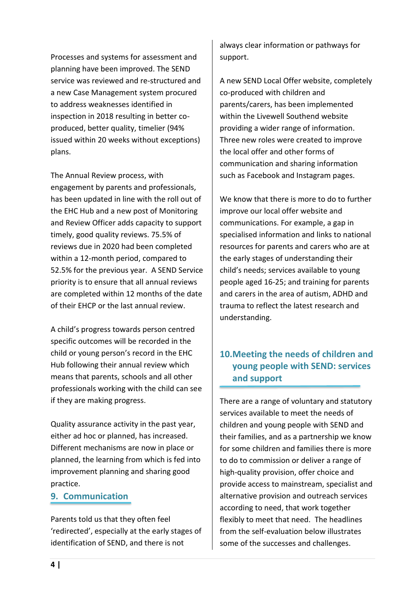Processes and systems for assessment and planning have been improved. The SEND service was reviewed and re-structured and a new Case Management system procured to address weaknesses identified in inspection in 2018 resulting in better coproduced, better quality, timelier (94% issued within 20 weeks without exceptions) plans.

The Annual Review process, with engagement by parents and professionals, has been updated in line with the roll out of the EHC Hub and a new post of Monitoring and Review Officer adds capacity to support timely, good quality reviews. 75.5% of reviews due in 2020 had been completed within a 12-month period, compared to 52.5% for the previous year. A SEND Service priority is to ensure that all annual reviews are completed within 12 months of the date of their EHCP or the last annual review.

A child's progress towards person centred specific outcomes will be recorded in the child or young person's record in the EHC Hub following their annual review which means that parents, schools and all other professionals working with the child can see if they are making progress.

Quality assurance activity in the past year, either ad hoc or planned, has increased. Different mechanisms are now in place or planned, the learning from which is fed into improvement planning and sharing good practice.

#### **9. Communication**

Parents told us that they often feel 'redirected', especially at the early stages of identification of SEND, and there is not

always clear information or pathways for support.

A new SEND Local Offer website, completely co-produced with children and parents/carers, has been implemented within the Livewell Southend website providing a wider range of information. Three new roles were created to improve the local offer and other forms of communication and sharing information such as Facebook and Instagram pages.

We know that there is more to do to further improve our local offer website and communications. For example, a gap in specialised information and links to national resources for parents and carers who are at the early stages of understanding their child's needs; services available to young people aged 16-25; and training for parents and carers in the area of autism, ADHD and trauma to reflect the latest research and understanding.

#### **10.Meeting the needs of children and young people with SEND: services and support**

There are a range of voluntary and statutory services available to meet the needs of children and young people with SEND and their families, and as a partnership we know for some children and families there is more to do to commission or deliver a range of high-quality provision, offer choice and provide access to mainstream, specialist and alternative provision and outreach services according to need, that work together flexibly to meet that need. The headlines from the self-evaluation below illustrates some of the successes and challenges.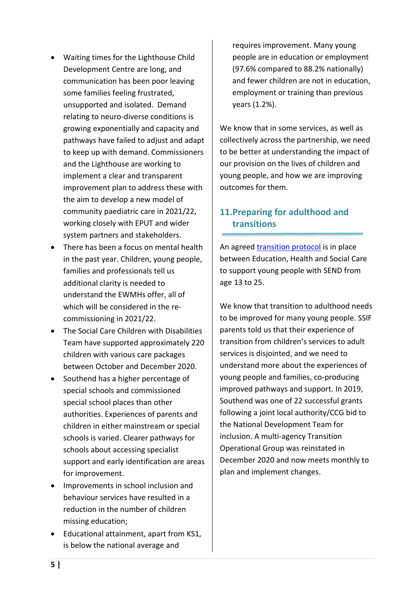- Waiting times for the Lighthouse Child Development Centre are long, and communication has been poor leaving some families feeling frustrated, unsupported and isolated. Demand relating to neuro-diverse conditions is growing exponentially and capacity and pathways have failed to adjust and adapt to keep up with demand. Commissioners and the Lighthouse are working to implement a clear and transparent improvement plan to address these with the aim to develop a new model of community paediatric care in 2021/22, working closely with EPUT and wider system partners and stakeholders.
- There has been a focus on mental health in the past year. Children, young people, families and professionals tell us additional clarity is needed to understand the EWMHs offer, all of which will be considered in the recommissioning in 2021/22.
- The Social Care Children with Disabilities Team have supported approximately 220 children with various care packages between October and December 2020.
- Southend has a higher percentage of special schools and commissioned special school places than other authorities. Experiences of parents and children in either mainstream or special schools is varied. Clearer pathways for schools about accessing specialist support and early identification are areas for improvement.
- Improvements in school inclusion and behaviour services have resulted in a reduction in the number of children missing education;
- Educational attainment, apart from KS1, is below the national average and

requires improvement. Many young people are in education or employment (97.6% compared to 88.2% nationally) and fewer children are not in education, employment or training than previous years (1.2%).

We know that in some services, as well as collectively across the partnership, we need to be better at understanding the impact of our provision on the lives of children and young people, and how we are improving outcomes for them.

### **11.Preparing for adulthood and transitions**

An agreed **transition protocol** is in place between Education, Health and Social Care to support young people with SEND from age 13 to 25.

We know that transition to adulthood needs to be improved for many young people. SSIF parents told us that their experience of transition from children's services to adult services is disjointed, and we need to understand more about the experiences of young people and families, co-producing improved pathways and support. In 2019, Southend was one of 22 successful grants following a joint local authority/CCG bid to the National Development Team for inclusion. A multi-agency Transition Operational Group was reinstated in December 2020 and now meets monthly to plan and implement changes.